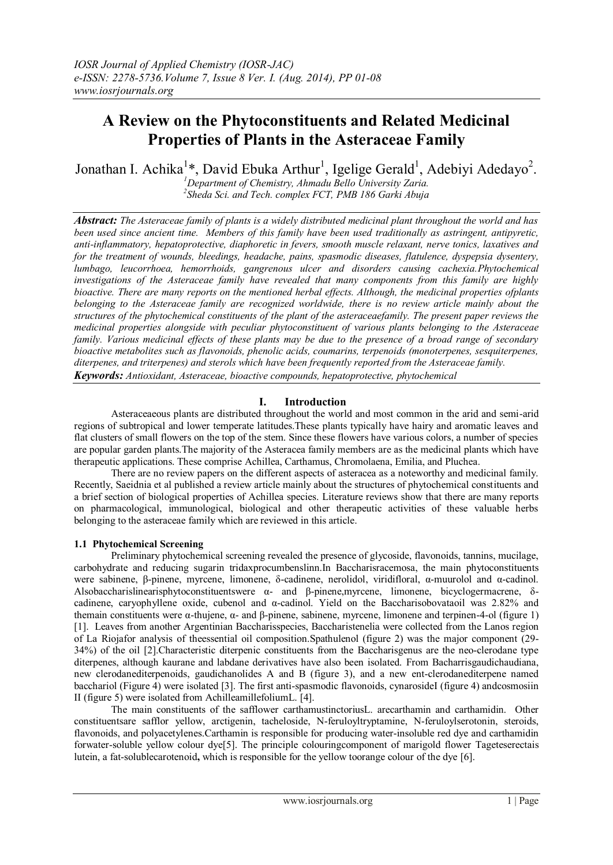# **A Review on the Phytoconstituents and Related Medicinal Properties of Plants in the Asteraceae Family**

Jonathan I. Achika<sup>1\*</sup>, David Ebuka Arthur<sup>1</sup>, Igelige Gerald<sup>1</sup>, Adebiyi Adedayo<sup>2</sup>.

*<sup>1</sup>Department of Chemistry, Ahmadu Bello University Zaria. 2 Sheda Sci. and Tech. complex FCT, PMB 186 Garki Abuja*

*Abstract: The Asteraceae family of plants is a widely distributed medicinal plant throughout the world and has been used since ancient time. Members of this family have been used traditionally as astringent, antipyretic, anti-inflammatory, hepatoprotective, diaphoretic in fevers, smooth muscle relaxant, nerve tonics, laxatives and for the treatment of wounds, bleedings, headache, pains, spasmodic diseases, flatulence, dyspepsia dysentery, lumbago, leucorrhoea, hemorrhoids, gangrenous ulcer and disorders causing cachexia.Phytochemical investigations of the Asteraceae family have revealed that many components from this family are highly bioactive. There are many reports on the mentioned herbal effects. Although, the medicinal properties ofplants belonging to the Asteraceae family are recognized worldwide, there is no review article mainly about the structures of the phytochemical constituents of the plant of the asteraceaefamily. The present paper reviews the medicinal properties alongside with peculiar phytoconstituent of various plants belonging to the Asteraceae family. Various medicinal effects of these plants may be due to the presence of a broad range of secondary bioactive metabolites such as flavonoids, phenolic acids, coumarins, terpenoids (monoterpenes, sesquiterpenes, diterpenes, and triterpenes) and sterols which have been frequently reported from the Asteraceae family. Keywords: Antioxidant, Asteraceae, bioactive compounds, hepatoprotective, phytochemical*

## **I. Introduction**

Asteraceaeous plants are distributed throughout the world and most common in the arid and semi-arid regions of subtropical and lower temperate latitudes.These plants typically have hairy and aromatic leaves and flat clusters of small flowers on the top of the stem. Since these flowers have various colors, a number of species are popular garden plants.The majority of the Asteracea family members are as the medicinal plants which have therapeutic applications. These comprise Achillea, Carthamus, Chromolaena, Emilia, and Pluchea.

There are no review papers on the different aspects of asteracea as a noteworthy and medicinal family. Recently, Saeidnia et al published a review article mainly about the structures of phytochemical constituents and a brief section of biological properties of Achillea species. Literature reviews show that there are many reports on pharmacological, immunological, biological and other therapeutic activities of these valuable herbs belonging to the asteraceae family which are reviewed in this article.

## **1.1 Phytochemical Screening**

Preliminary phytochemical screening revealed the presence of glycoside, flavonoids, tannins, mucilage, carbohydrate and reducing sugarin tridaxprocumbenslinn.In Baccharisracemosa, the main phytoconstituents were sabinene, β-pinene, myrcene, limonene, δ-cadinene, nerolidol, viridifloral, α-muurolol and α-cadinol. Alsobaccharislinearisphytoconstituentswere α- and β-pinene,myrcene, limonene, bicyclogermacrene, δcadinene, caryophyllene oxide, cubenol and α-cadinol. Yield on the Baccharisobovataoil was 2.82% and themain constituents were α-thujene, α- and β-pinene, sabinene, myrcene, limonene and terpinen-4-ol (figure 1) [1]. Leaves from another Argentinian Baccharisspecies, Baccharistenelia were collected from the Lanos region of La Riojafor analysis of theessential oil composition.Spathulenol (figure 2) was the major component (29- 34%) of the oil [2].Characteristic diterpenic constituents from the Baccharisgenus are the neo-clerodane type diterpenes, although kaurane and labdane derivatives have also been isolated. From Bacharrisgaudichaudiana, new clerodanediterpenoids, gaudichanolides A and B (figure 3), and a new ent-clerodanediterpene named bacchariol (Figure 4) were isolated [3]. The first anti-spasmodic flavonoids, cynarosideI (figure 4) andcosmosiin II (figure 5) were isolated from AchilleamillefoliumL. [4].

The main constituents of the safflower carthamustinctoriusL. arecarthamin and carthamidin. Other constituentsare safflor yellow, arctigenin, tacheloside, N-feruloyltryptamine, N-feruloylserotonin, steroids, flavonoids, and polyacetylenes.Carthamin is responsible for producing water-insoluble red dye and carthamidin forwater-soluble yellow colour dye[5]. The principle colouringcomponent of marigold flower Tageteserectais lutein, a fat-solublecarotenoid**,** which is responsible for the yellow toorange colour of the dye [6].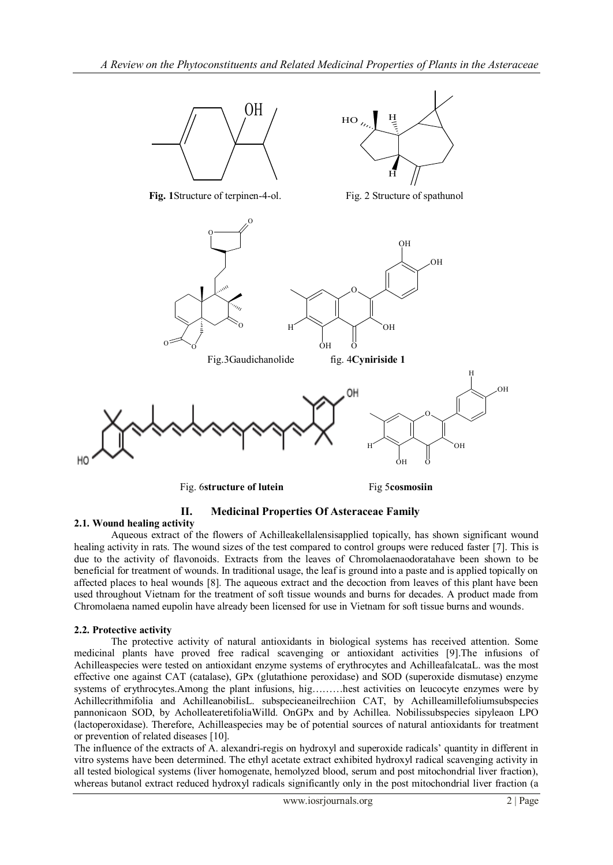

# **II. Medicinal Properties Of Asteraceae Family**

# **2.1. Wound healing activity**

Aqueous extract of the flowers of Achilleakellalensisapplied topically, has shown significant wound healing activity in rats. The wound sizes of the test compared to control groups were reduced faster [7]. This is due to the activity of flavonoids. Extracts from the leaves of Chromolaenaodoratahave been shown to be beneficial for treatment of wounds. In traditional usage, the leaf is ground into a paste and is applied topically on affected places to heal wounds [8]. The aqueous extract and the decoction from leaves of this plant have been used throughout Vietnam for the treatment of soft tissue wounds and burns for decades. A product made from Chromolaena named eupolin have already been licensed for use in Vietnam for soft tissue burns and wounds.

#### **2.2. Protective activity**

The protective activity of natural antioxidants in biological systems has received attention. Some medicinal plants have proved free radical scavenging or antioxidant activities [9].The infusions of Achilleaspecies were tested on antioxidant enzyme systems of erythrocytes and AchilleafalcataL. was the most effective one against CAT (catalase), GPx (glutathione peroxidase) and SOD (superoxide dismutase) enzyme systems of erythrocytes.Among the plant infusions, hig………hest activities on leucocyte enzymes were by Achillecrithmifolia and AchilleanobilisL. subspecieaneilrechiion CAT, by Achilleamillefoliumsubspecies pannonicaon SOD, by AcholleateretifoliaWilld. OnGPx and by Achillea. Nobilissubspecies sipyleaon LPO (lactoperoxidase). Therefore, Achilleaspecies may be of potential sources of natural antioxidants for treatment or prevention of related diseases [10].

The influence of the extracts of A. alexandri-regis on hydroxyl and superoxide radicals' quantity in different in vitro systems have been determined. The ethyl acetate extract exhibited hydroxyl radical scavenging activity in all tested biological systems (liver homogenate, hemolyzed blood, serum and post mitochondrial liver fraction), whereas butanol extract reduced hydroxyl radicals significantly only in the post mitochondrial liver fraction (a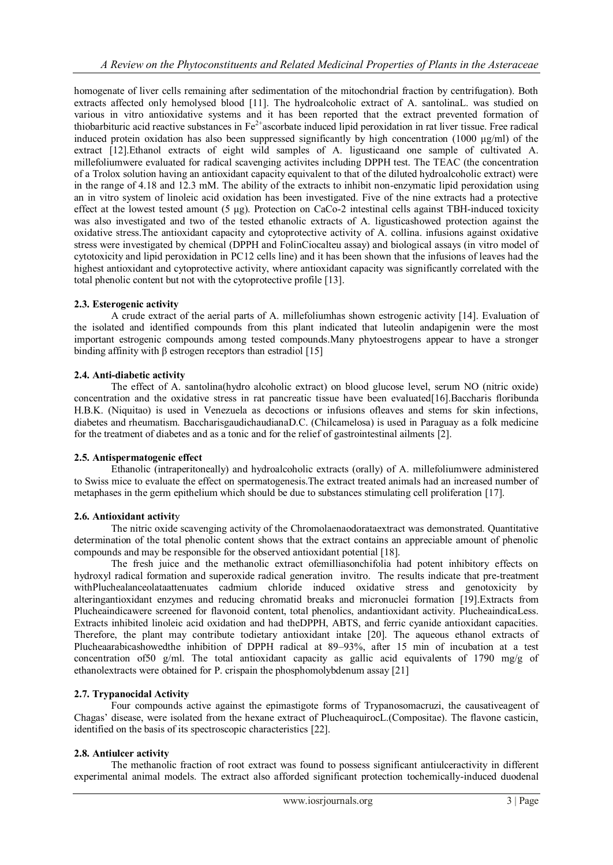homogenate of liver cells remaining after sedimentation of the mitochondrial fraction by centrifugation). Both extracts affected only hemolysed blood [11]. The hydroalcoholic extract of A. santolinaL. was studied on various in vitro antioxidative systems and it has been reported that the extract prevented formation of thiobarbituric acid reactive substances in  $Fe^{2+}$ ascorbate induced lipid peroxidation in rat liver tissue. Free radical induced protein oxidation has also been suppressed significantly by high concentration (1000 μg/ml) of the extract [12].Ethanol extracts of eight wild samples of A. ligusticaand one sample of cultivated A. millefoliumwere evaluated for radical scavenging activites including DPPH test. The TEAC (the concentration of a Trolox solution having an antioxidant capacity equivalent to that of the diluted hydroalcoholic extract) were in the range of 4.18 and 12.3 mM. The ability of the extracts to inhibit non-enzymatic lipid peroxidation using an in vitro system of linoleic acid oxidation has been investigated. Five of the nine extracts had a protective effect at the lowest tested amount (5 μg). Protection on CaCo-2 intestinal cells against TBH-induced toxicity was also investigated and two of the tested ethanolic extracts of A. ligusticashowed protection against the oxidative stress.The antioxidant capacity and cytoprotective activity of A. collina. infusions against oxidative stress were investigated by chemical (DPPH and FolinCiocalteu assay) and biological assays (in vitro model of cytotoxicity and lipid peroxidation in PC12 cells line) and it has been shown that the infusions of leaves had the highest antioxidant and cytoprotective activity, where antioxidant capacity was significantly correlated with the total phenolic content but not with the cytoprotective profile [13].

#### **2.3. Esterogenic activity**

A crude extract of the aerial parts of A. millefoliumhas shown estrogenic activity [14]. Evaluation of the isolated and identified compounds from this plant indicated that luteolin andapigenin were the most important estrogenic compounds among tested compounds.Many phytoestrogens appear to have a stronger binding affinity with  $\beta$  estrogen receptors than estradiol [15]

## **2.4. Anti-diabetic activity**

The effect of A. santolina(hydro alcoholic extract) on blood glucose level, serum NO (nitric oxide) concentration and the oxidative stress in rat pancreatic tissue have been evaluated[16].Baccharis floribunda H.B.K. (Niquitao) is used in Venezuela as decoctions or infusions ofleaves and stems for skin infections, diabetes and rheumatism. BaccharisgaudichaudianaD.C. (Chilcamelosa) is used in Paraguay as a folk medicine for the treatment of diabetes and as a tonic and for the relief of gastrointestinal ailments [2].

#### **2.5. Antispermatogenic effect**

Ethanolic (intraperitoneally) and hydroalcoholic extracts (orally) of A. millefoliumwere administered to Swiss mice to evaluate the effect on spermatogenesis.The extract treated animals had an increased number of metaphases in the germ epithelium which should be due to substances stimulating cell proliferation [17].

#### **2.6. Antioxidant activit**y

The nitric oxide scavenging activity of the Chromolaenaodorataextract was demonstrated. Quantitative determination of the total phenolic content shows that the extract contains an appreciable amount of phenolic compounds and may be responsible for the observed antioxidant potential [18].

The fresh juice and the methanolic extract ofemilliasonchifolia had potent inhibitory effects on hydroxyl radical formation and superoxide radical generation invitro. The results indicate that pre-treatment withPluchealanceolataattenuates cadmium chloride induced oxidative stress and genotoxicity by alteringantioxidant enzymes and reducing chromatid breaks and micronuclei formation [19].Extracts from Plucheaindicawere screened for flavonoid content, total phenolics, andantioxidant activity. PlucheaindicaLess. Extracts inhibited linoleic acid oxidation and had theDPPH, ABTS, and ferric cyanide antioxidant capacities. Therefore, the plant may contribute todietary antioxidant intake [20]. The aqueous ethanol extracts of Plucheaarabicashowedthe inhibition of DPPH radical at 89–93%, after 15 min of incubation at a test concentration of50 g/ml. The total antioxidant capacity as gallic acid equivalents of 1790 mg/g of ethanolextracts were obtained for P. crispain the phosphomolybdenum assay [21]

## **2.7. Trypanocidal Activity**

Four compounds active against the epimastigote forms of Trypanosomacruzi, the causativeagent of Chagas' disease, were isolated from the hexane extract of PlucheaquirocL.(Compositae). The flavone casticin, identified on the basis of its spectroscopic characteristics [22].

## **2.8. Antiulcer activity**

The methanolic fraction of root extract was found to possess significant antiulceractivity in different experimental animal models. The extract also afforded significant protection tochemically-induced duodenal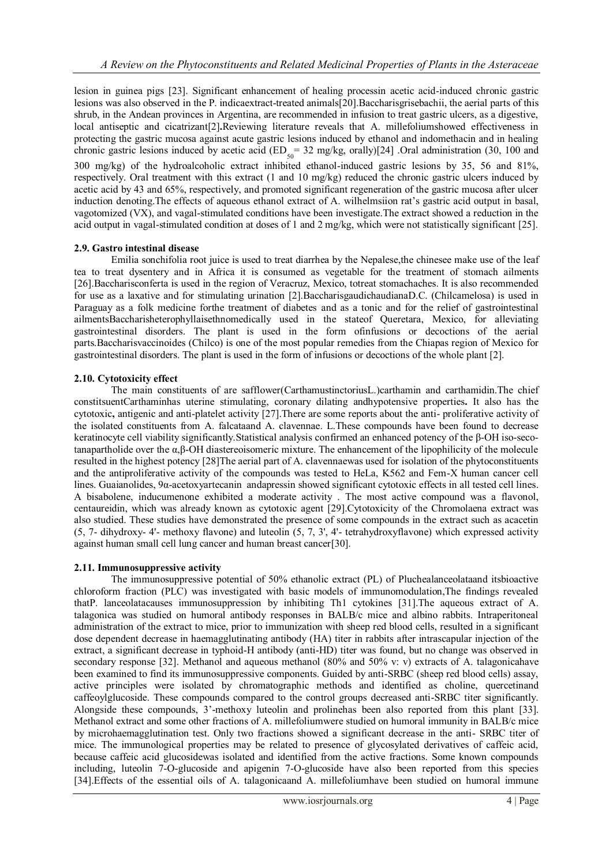lesion in guinea pigs [23]. Significant enhancement of healing processin acetic acid-induced chronic gastric lesions was also observed in the P. indicaextract-treated animals[20].Baccharisgrisebachii, the aerial parts of this shrub, in the Andean provinces in Argentina, are recommended in infusion to treat gastric ulcers, as a digestive, local antiseptic and cicatrizant[2]**.**Reviewing literature reveals that A. millefoliumshowed effectiveness in protecting the gastric mucosa against acute gastric lesions induced by ethanol and indomethacin and in healing chronic gastric lesions induced by acetic acid ( $ED_{50}$  = 32 mg/kg, orally)[24] .Oral administration (30, 100 and 300 mg/kg) of the hydroalcoholic extract inhibited ethanol-induced gastric lesions by 35, 56 and 81%, respectively. Oral treatment with this extract (1 and 10 mg/kg) reduced the chronic gastric ulcers induced by acetic acid by 43 and 65%, respectively, and promoted significant regeneration of the gastric mucosa after ulcer induction denoting.The effects of aqueous ethanol extract of A. wilhelmsiion rat's gastric acid output in basal, vagotomized (VX), and vagal-stimulated conditions have been investigate.The extract showed a reduction in the acid output in vagal-stimulated condition at doses of 1 and 2 mg/kg, which were not statistically significant [25].

#### **2.9. Gastro intestinal disease**

Emilia sonchifolia root juice is used to treat diarrhea by the Nepalese,the chinesee make use of the leaf tea to treat dysentery and in Africa it is consumed as vegetable for the treatment of stomach ailments [26].Baccharisconferta is used in the region of Veracruz, Mexico, totreat stomachaches. It is also recommended for use as a laxative and for stimulating urination [2].BaccharisgaudichaudianaD.C. (Chilcamelosa) is used in Paraguay as a folk medicine forthe treatment of diabetes and as a tonic and for the relief of gastrointestinal ailmentsBaccharisheterophyllaisethnomedically used in the stateof Queretara, Mexico, for alleviating gastrointestinal disorders. The plant is used in the form ofinfusions or decoctions of the aerial parts.Baccharisvaccinoides (Chilco) is one of the most popular remedies from the Chiapas region of Mexico for gastrointestinal disorders. The plant is used in the form of infusions or decoctions of the whole plant [2].

#### **2.10. Cytotoxicity effect**

The main constituents of are safflower(CarthamustinctoriusL.)carthamin and carthamidin.The chief constitsuentCarthaminhas uterine stimulating, coronary dilating andhypotensive properties**.** It also has the cytotoxic**,** antigenic and anti-platelet activity [27].There are some reports about the anti- proliferative activity of the isolated constituents from A. falcataand A. clavennae. L.These compounds have been found to decrease keratinocyte cell viability significantly.Statistical analysis confirmed an enhanced potency of the β-OH iso-secotanapartholide over the α,β-OH diastereoisomeric mixture. The enhancement of the lipophilicity of the molecule resulted in the highest potency [28]The aerial part of A. clavennaewas used for isolation of the phytoconstituents and the antiproliferative activity of the compounds was tested to HeLa, K562 and Fem-X human cancer cell lines. Guaianolides, 9α-acetoxyartecanin andapressin showed significant cytotoxic effects in all tested cell lines. A bisabolene, inducumenone exhibited a moderate activity . The most active compound was a flavonol, centaureidin, which was already known as cytotoxic agent [29].Cytotoxicity of the Chromolaena extract was also studied. These studies have demonstrated the presence of some compounds in the extract such as acacetin (5, 7- dihydroxy- 4'- methoxy flavone) and luteolin (5, 7, 3', 4'- tetrahydroxyflavone) which expressed activity against human small cell lung cancer and human breast cancer[30].

#### **2.11. Immunosuppressive activity**

The immunosuppressive potential of 50% ethanolic extract (PL) of Pluchealanceolataand itsbioactive chloroform fraction (PLC) was investigated with basic models of immunomodulation,The findings revealed thatP. lanceolatacauses immunosuppression by inhibiting Th1 cytokines [31].The aqueous extract of A. talagonica was studied on humoral antibody responses in BALB/c mice and albino rabbits. Intraperitoneal administration of the extract to mice, prior to immunization with sheep red blood cells, resulted in a significant dose dependent decrease in haemagglutinating antibody (HA) titer in rabbits after intrascapular injection of the extract, a significant decrease in typhoid-H antibody (anti-HD) titer was found, but no change was observed in secondary response [32]. Methanol and aqueous methanol (80% and 50% v: v) extracts of A. talagonicahave been examined to find its immunosuppressive components. Guided by anti-SRBC (sheep red blood cells) assay, active principles were isolated by chromatographic methods and identified as choline, quercetinand caffeoylglucoside. These compounds compared to the control groups decreased anti-SRBC titer significantly. Alongside these compounds, 3'-methoxy luteolin and prolinehas been also reported from this plant [33]. Methanol extract and some other fractions of A. millefoliumwere studied on humoral immunity in BALB/c mice by microhaemagglutination test. Only two fractions showed a significant decrease in the anti- SRBC titer of mice. The immunological properties may be related to presence of glycosylated derivatives of caffeic acid, because caffeic acid glucosidewas isolated and identified from the active fractions. Some known compounds including, luteolin 7-O-glucoside and apigenin 7-O-glucoside have also been reported from this species [34].Effects of the essential oils of A. talagonicaand A. millefoliumhave been studied on humoral immune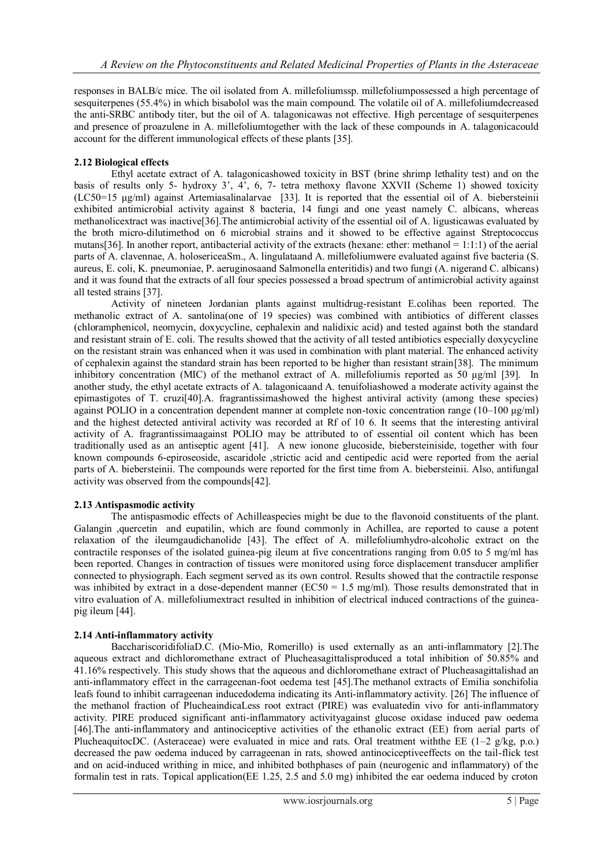responses in BALB/c mice. The oil isolated from A. millefoliumssp. millefoliumpossessed a high percentage of sesquiterpenes (55.4%) in which bisabolol was the main compound. The volatile oil of A. millefoliumdecreased the anti-SRBC antibody titer, but the oil of A. talagonicawas not effective. High percentage of sesquiterpenes and presence of proazulene in A. millefoliumtogether with the lack of these compounds in A. talagonicacould account for the different immunological effects of these plants [35].

#### **2.12 Biological effects**

Ethyl acetate extract of A. talagonicashowed toxicity in BST (brine shrimp lethality test) and on the basis of results only 5- hydroxy 3', 4', 6, 7- tetra methoxy flavone XXVII (Scheme 1) showed toxicity (LC50=15 μg/ml) against Artemiasalinalarvae [33]. It is reported that the essential oil of A. biebersteinii exhibited antimicrobial activity against 8 bacteria, 14 fungi and one yeast namely C. albicans, whereas methanolicextract was inactive[36].The antimicrobial activity of the essential oil of A. ligusticawas evaluated by the broth micro-dilutimethod on 6 microbial strains and it showed to be effective against Streptococcus mutans[36]. In another report, antibacterial activity of the extracts (hexane: ether: methanol = 1:1:1) of the aerial parts of A. clavennae, A. holosericeaSm., A. lingulataand A. millefoliumwere evaluated against five bacteria (S. aureus, E. coli, K. pneumoniae, P. aeruginosaand Salmonella enteritidis) and two fungi (A. nigerand C. albicans) and it was found that the extracts of all four species possessed a broad spectrum of antimicrobial activity against all tested strains [37].

Activity of nineteen Jordanian plants against multidrug-resistant E.colihas been reported. The methanolic extract of A. santolina(one of 19 species) was combined with antibiotics of different classes (chloramphenicol, neomycin, doxycycline, cephalexin and nalidixic acid) and tested against both the standard and resistant strain of E. coli. The results showed that the activity of all tested antibiotics especially doxycycline on the resistant strain was enhanced when it was used in combination with plant material. The enhanced activity of cephalexin against the standard strain has been reported to be higher than resistant strain[38]. The minimum inhibitory concentration (MIC) of the methanol extract of A. millefoliumis reported as 50 μg/ml [39]. In another study, the ethyl acetate extracts of A. talagonicaand A. tenuifoliashowed a moderate activity against the epimastigotes of T. cruzi[40].A. fragrantissimashowed the highest antiviral activity (among these species) against POLIO in a concentration dependent manner at complete non-toxic concentration range (10–100 μg/ml) and the highest detected antiviral activity was recorded at Rf of 10 6. It seems that the interesting antiviral activity of A. fragrantissimaagainst POLIO may be attributed to of essential oil content which has been traditionally used as an antiseptic agent [41]. A new ionone glucoside, biebersteiniside, together with four known compounds 6-epiroseoside, ascaridole ,strictic acid and centipedic acid were reported from the aerial parts of A. biebersteinii. The compounds were reported for the first time from A. biebersteinii. Also, antifungal activity was observed from the compounds[42].

## **2.13 Antispasmodic activity**

The antispasmodic effects of Achilleaspecies might be due to the flavonoid constituents of the plant. Galangin ,quercetin and eupatilin, which are found commonly in Achillea, are reported to cause a potent relaxation of the ileumgaudichanolide [43]. The effect of A. millefoliumhydro-alcoholic extract on the contractile responses of the isolated guinea-pig ileum at five concentrations ranging from 0.05 to 5 mg/ml has been reported. Changes in contraction of tissues were monitored using force displacement transducer amplifier connected to physiograph. Each segment served as its own control. Results showed that the contractile response was inhibited by extract in a dose-dependent manner ( $EC50 = 1.5$  mg/ml). Those results demonstrated that in vitro evaluation of A. millefoliumextract resulted in inhibition of electrical induced contractions of the guineapig ileum [44].

#### **2.14 Anti-inflammatory activity**

BacchariscoridifoliaD.C. (Mio-Mio, Romerillo) is used externally as an anti-inflammatory [2].The aqueous extract and dichloromethane extract of Plucheasagittalisproduced a total inhibition of 50.85% and 41.16% respectively. This study shows that the aqueous and dichloromethane extract of Plucheasagittalishad an anti-inflammatory effect in the carrageenan-foot oedema test [45].The methanol extracts of Emilia sonchifolia leafs found to inhibit carrageenan inducedodema indicating its Anti-inflammatory activity. [26] The influence of the methanol fraction of PlucheaindicaLess root extract (PIRE) was evaluatedin vivo for anti-inflammatory activity. PIRE produced significant anti-inflammatory activityagainst glucose oxidase induced paw oedema [46].The anti-inflammatory and antinociceptive activities of the ethanolic extract (EE) from aerial parts of PlucheaquitocDC. (Asteraceae) were evaluated in mice and rats. Oral treatment with the EE ( $1-2$  g/kg, p.o.) decreased the paw oedema induced by carrageenan in rats, showed antinociceptiveeffects on the tail-flick test and on acid-induced writhing in mice, and inhibited bothphases of pain (neurogenic and inflammatory) of the formalin test in rats. Topical application(EE 1.25, 2.5 and 5.0 mg) inhibited the ear oedema induced by croton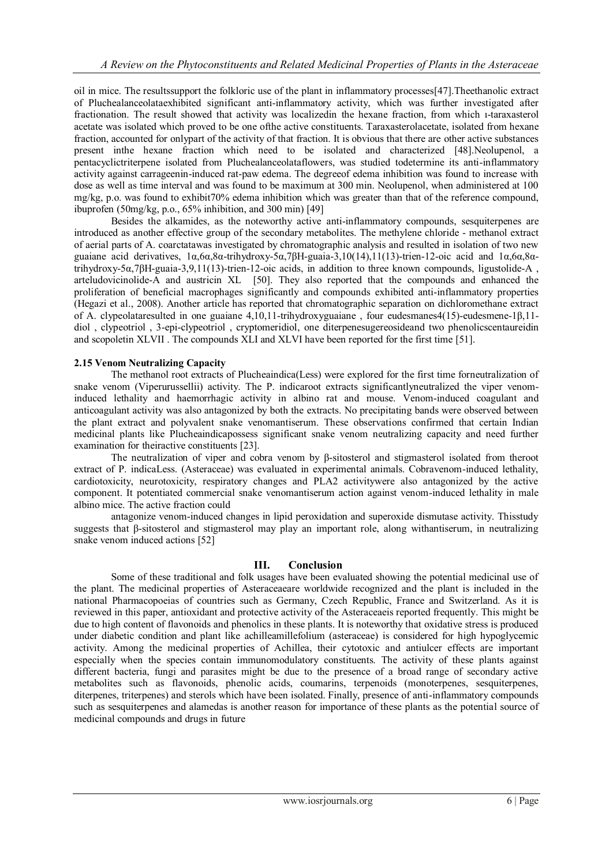oil in mice. The resultssupport the folkloric use of the plant in inflammatory processes[47].Theethanolic extract of Pluchealanceolataexhibited significant anti-inflammatory activity, which was further investigated after fractionation. The result showed that activity was localizedin the hexane fraction, from which ı-taraxasterol acetate was isolated which proved to be one ofthe active constituents. Taraxasterolacetate, isolated from hexane fraction, accounted for onlypart of the activity of that fraction. It is obvious that there are other active substances present inthe hexane fraction which need to be isolated and characterized [48].Neolupenol, a pentacyclictriterpene isolated from Pluchealanceolataflowers, was studied todetermine its anti-inflammatory activity against carrageenin-induced rat-paw edema. The degreeof edema inhibition was found to increase with dose as well as time interval and was found to be maximum at 300 min. Neolupenol, when administered at 100 mg/kg, p.o. was found to exhibit70% edema inhibition which was greater than that of the reference compound, ibuprofen (50mg/kg, p.o.,  $65\%$  inhibition, and 300 min) [49]

Besides the alkamides, as the noteworthy active anti-inflammatory compounds, sesquiterpenes are introduced as another effective group of the secondary metabolites. The methylene chloride - methanol extract of aerial parts of A. coarctatawas investigated by chromatographic analysis and resulted in isolation of two new guaiane acid derivatives, 1α,6α,8α-trihydroxy-5α,7βH-guaia-3,10(14),11(13)-trien-12-oic acid and 1α,6α,8αtrihydroxy-5α,7βH-guaia-3,9,11(13)-trien-12-oic acids, in addition to three known compounds, ligustolide-A , arteludovicinolide-A and austricin XL [50]. They also reported that the compounds and enhanced the proliferation of beneficial macrophages significantly and compounds exhibited anti-inflammatory properties (Hegazi et al., 2008). Another article has reported that chromatographic separation on dichloromethane extract of A. clypeolataresulted in one guaiane 4,10,11-trihydroxyguaiane , four eudesmanes4(15)-eudesmene-1β,11 diol , clypeotriol , 3-epi-clypeotriol , cryptomeridiol, one diterpenesugereosideand two phenolicscentaureidin and scopoletin XLVII . The compounds XLI and XLVI have been reported for the first time [51].

#### **2.15 Venom Neutralizing Capacity**

The methanol root extracts of Plucheaindica(Less) were explored for the first time forneutralization of snake venom (Viperurussellii) activity. The P. indicaroot extracts significantlyneutralized the viper venominduced lethality and haemorrhagic activity in albino rat and mouse. Venom-induced coagulant and anticoagulant activity was also antagonized by both the extracts. No precipitating bands were observed between the plant extract and polyvalent snake venomantiserum. These observations confirmed that certain Indian medicinal plants like Plucheaindicapossess significant snake venom neutralizing capacity and need further examination for theiractive constituents [23].

The neutralization of viper and cobra venom by β-sitosterol and stigmasterol isolated from theroot extract of P. indicaLess. (Asteraceae) was evaluated in experimental animals. Cobravenom-induced lethality, cardiotoxicity, neurotoxicity, respiratory changes and PLA2 activitywere also antagonized by the active component. It potentiated commercial snake venomantiserum action against venom-induced lethality in male albino mice. The active fraction could

antagonize venom-induced changes in lipid peroxidation and superoxide dismutase activity. Thisstudy suggests that β-sitosterol and stigmasterol may play an important role, along withantiserum, in neutralizing snake venom induced actions [52]

## **III. Conclusion**

Some of these traditional and folk usages have been evaluated showing the potential medicinal use of the plant. The medicinal properties of Asteraceaeare worldwide recognized and the plant is included in the national Pharmacopoeias of countries such as Germany, Czech Republic, France and Switzerland. As it is reviewed in this paper, antioxidant and protective activity of the Asteraceaeis reported frequently. This might be due to high content of flavonoids and phenolics in these plants. It is noteworthy that oxidative stress is produced under diabetic condition and plant like achilleamillefolium (asteraceae) is considered for high hypoglycemic activity. Among the medicinal properties of Achillea, their cytotoxic and antiulcer effects are important especially when the species contain immunomodulatory constituents. The activity of these plants against different bacteria, fungi and parasites might be due to the presence of a broad range of secondary active metabolites such as flavonoids, phenolic acids, coumarins, terpenoids (monoterpenes, sesquiterpenes, diterpenes, triterpenes) and sterols which have been isolated. Finally, presence of anti-inflammatory compounds such as sesquiterpenes and alamedas is another reason for importance of these plants as the potential source of medicinal compounds and drugs in future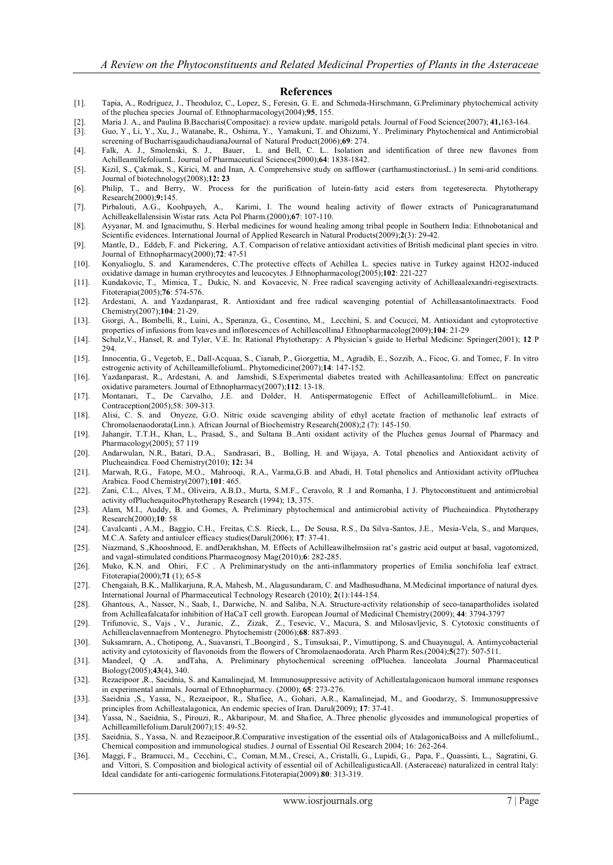#### **References**

- [1]. Tapia, A., Rodríguez, J., Theoduloz, C., Lopez, S., Feresin, G. E. and Schmeda-Hirschmann, G.Preliminary phytochemical activity of the pluchea species .Journal of. Ethnopharmacology(2004);**95**, 155.
- [2]. Maria J. A., and Paulina B.Baccharis(Compositae): a review update. marigold petals. Journal of Food Science(2007); **41,**163-164.
- [3]. Guo, Y., Li, Y., Xu, J., Watanabe, R., Oshima, Y., Yamakuni, T. and Ohizumi, Y.. Preliminary Phytochemical and Antimicrobial screening of BucharrisgaudichaudianaJournal of Natural Product(2006);**69**: 274.
- [4]. Falk, A. J., Smolenski, S. J., Bauer, L. and Bell, C. L.. Isolation and identification of three new flavones from AchilleamillefoliumL. Journal of Pharmaceutical Sciences(2000);**64**: 1838-1842.
- [5]. Kizil, S., Çakmak, S., Kirici, M. and Inan, A. Comprehensive study on safflower (carthamustinctoriusL.) In semi-arid conditions. Journal of biotechnology(2008);**12: 23**
- [6]. Philip, T., and Berry, W. Process for the purification of lutein-fatty acid esters from tegeteserecta. Phytotherapy Research(2000);9:145.<br>Pirbalouti, A.G., Koohpayeh, A.,
- [7]. Pirbalouti, A.G., Koohpayeh, A., Karimi, I. The wound healing activity of flower extracts of Punicagranatumand Achilleakellalensisin Wistar rats. Acta Pol Pharm.(2000);**67**: 107-110.
- [8]. Ayyanar, M. and Ignacimuthu, S. Herbal medicines for wound healing among tribal people in Southern India: Ethnobotanical and Scientific evidences. International Journal of Applied Research in Natural Products(2009);**2**(3): 29-42.
- [9]. Mantle, D., Eddeb, F. and Pickering, A.T. Comparison of relative antioxidant activities of British medicinal plant species in vitro. Journal of Ethnopharmacy(2000);**72**: 47-51
- [10]. Konyalioglu, S. and Karamenderes, C.The protective effects of Achillea L. species native in Turkey against H2O2-induced oxidative damage in human erythrocytes and leucocytes. J Ethnopharmacolog(2005);**102**: 221-227
- [11]. Kundakovic, T., Mimica, T., Dukic, N. and Kovacevic, N. Free radical scavenging activity of Achilleaalexandri-regisextracts. Fitoterapia(2005);**76**: 574-576.
- [12]. Ardestani, A. and Yazdanparast, R. Antioxidant and free radical scavenging potential of Achilleasantolinaextracts. Food Chemistry(2007);**104**: 21-29.
- [13]. Giorgi, A., Bombelli, R., Luini, A., Speranza, G., Cosentino, M., Lecchini, S. and Cocucci, M. Antioxidant and cytoprotective properties of infusions from leaves and inflorescences of AchilleacollinaJ Ethnopharmacolog(2009);**104**: 21-29
- [14]. Schulz,V., Hansel, R. and Tyler, V.E. In: Rational Phytotherapy: A Physician's guide to Herbal Medicine: Springer(2001); **12** P 294.
- [15]. Innocentia, G., Vegetob, E., Dall-Acquaa, S., Cianab, P., Giorgettia, M., Agradib, E., Sozzib, A., Ficoc, G. and Tomec, F. In vitro estrogenic activity of AchilleamillefoliumL. Phytomedicine(2007);**14**: 147-152.
- [16]. Yazdanparast, R., Ardestani, A. and Jamshidi, S.Experimental diabetes treated with Achilleasantolina: Effect on pancreatic oxidative parameters. Journal of Ethnopharmacy(2007);**112**: 13-18.
- [17]. Montanari, T., De Carvalho, J.E. and Dolder, H. Antispermatogenic Effect of AchilleamillefoliumL. in Mice. Contraception(2005);58: 309-313.
- [18]. Alisi, C. S. and Onyeze, G.O. Nitric oxide scavenging ability of ethyl acetate fraction of methanolic leaf extracts of Chromolaenaodorata(Linn.). African Journal of Biochemistry Research(2008);2 (7): 145-150.
- [19]. Jahangir, T.T.H., Khan, L., Prasad, S., and Sultana B..Anti oxidant activity of the Pluchea genus Journal of Pharmacy and Pharmacology(2005); 57 119
- [20]. Andarwulan, N.R., Batari, D.A., Sandrasari, B., Bolling, H. and Wijaya, A. Total phenolics and Antioxidant activity of Plucheaindica. Food Chemistry(2010); **12:** 34
- [21]. Marwah, R.G., Fatope, M.O., Mahrooqi, R.A., Varma,G.B. and Abadi, H. Total phenolics and Antioxidant activity ofPluchea Arabica. Food Chemistry(2007);**101**: 465.
- [22]. Zani, C.L., Alves, T.M., Oliveira, A.B.D., Murta, S.M.F., Ceravolo, R .I and Romanha, I J. Phytoconstituent and antimicrobial activity ofPlucheaquitocPhytotherapy Research (1994); 1**3**, 375.
- [23]. Alam, M.I., Auddy, B. and Gomes, A. Preliminary phytochemical and antimicrobial activity of Plucheaindica. Phytotherapy Research(2000);**10**: 58
- [24]. Cavalcanti , A.M., Baggio, C.H., Freitas, C.S. Rieck, L., De Sousa, R.S., Da Silva-Santos, J.E., Mesia-Vela, S., and Marques, M.C.A. Safety and antiulcer efficacy studies(Darul(2006); **17**: 37-41.
- [25]. Niazmand, S.,Khooshnood, E. andDerakhshan, M. Effects of Achilleawilhelmsiion rat's gastric acid output at basal, vagotomized, and vagal-stimulated conditions.Pharmacognosy Mag(2010);**6**: 282-285.
- [26]. Muko, K.N. and Ohiri, F.C . A Preliminarystudy on the anti-inflammatory properties of Emilia sonchifolia leaf extract. Fitoterapia(2000);**71** (1); 65-8
- [27]. Chengaiah, B.K., Mallikarjuna, R.A, Mahesh, M., Alagusundaram, C. and Madhusudhana, M.Medicinal importance of natural dyes. International Journal of Pharmaceutical Technology Research (2010); **2**(1):144-154.
- [28]. Ghantous, A., Nasser, N., Saab, I., Darwiche, N. and Saliba, N.A. Structure-activity relationship of seco-tanapartholides isolated from Achilleafalcatafor inhibition of HaCaT cell growth. European Journal of Medicinal Chemistry(2009); **44**: 3794-3797
- [29]. Trifunovic, S., Vajs , V., Juranic, Z., Zizak, Z., Tesevic, V., Macura, S. and Milosavljevic, S. Cytotoxic constituents of Achilleaclavennaefrom Montenegro. Phytochemistr (2006);**68**: 887-893.
- [30]. Suksamrarn, A., Chotipong, A., Suavansri, T.,Boongird , S., Timsuksai, P., Vimuttipong, S. and Chuaynugul, A. Antimycobacterial activity and cytotoxicity of flavonoids from the flowers of Chromolaenaodorata. Arch Pharm Res.(2004);**5**(27): 507-511.
- [31]. Mandeel, Q .A. andTaha, A. Preliminary phytochemical screening ofPluchea. lanceolata .Journal Pharmaceutical Biology(2005);**43**(4), 340.
- [32]. Rezaeipoor ,R., Saeidnia, S. and Kamalinejad, M. Immunosuppressive activity of Achilleatalagonicaon humoral immune responses in experimental animals. Journal of Ethnopharmacy. (2000); **65**: 273-276.
- [33]. Saeidnia ,S., Yassa, N., Rezaeipoor, R., Shafiee, A., Gohari, A.R., Kamalinejad, M., and Goodarzy, S. Immunosuppressive principles from Achilleatalagonica, An endemic species of Iran. Darul(2009); **17**: 37-41.
- [34]. Yassa, N., Saeidnia, S., Pirouzi, R., Akbaripour, M. and Shafiee, A..Three phenolic glycosides and immunological properties of Achilleamillefolium.Darul(2007);15: 49-52.
- [35]. Saeidnia, S., Yassa, N. and Rezaeipoor,R.Comparative investigation of the essential oils of AtalagonicaBoiss and A millefoliumL, Chemical composition and immunological studies. J ournal of Essential Oil Research 2004; 16: 262-264.
- [36]. Maggi, F., Bramucci, M., Cecchini, C., Coman, M.M., Cresci, A., Cristalli, G., Lupidi, G., Papa, F., Quassinti, L., Sagratini, G. and Vittori, S. Composition and biological activity of essential oil of AchillealigusticaAll. (Asteraceae) naturalized in central Italy: Ideal candidate for anti-cariogenic formulations.Fitoterapia(2009).**80**: 313-319.